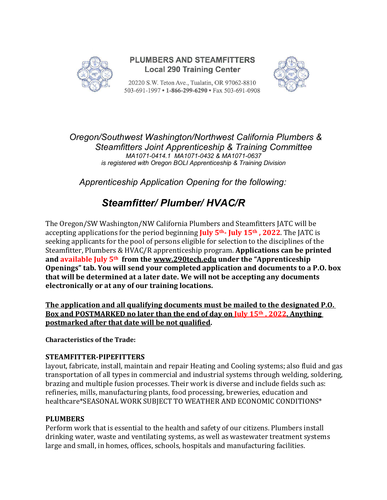

## **PLUMBERS AND STEAMFITTERS Local 290 Training Center**

20220 S.W. Teton Ave., Tualatin, OR 97062-8810 503-691-1997 • 1-866-299-6290 • Fax 503-691-0908



*Oregon/Southwest Washington/Northwest California Plumbers & Steamfitters Joint Apprenticeship & Training Committee MA1071-0414.1 MA1071-0432 & MA1071-0637 is registered with Oregon BOLI Apprenticeship & Training Division*

*Apprenticeship Application Opening for the following:*

# *Steamfitter/ Plumber/ HVAC/R*

The Oregon/SW Washington/NW California Plumbers and Steamfitters JATC will be accepting applications for the period beginning **July 5th- July 15th , 2022**. The JATC is seeking applicants for the pool of persons eligible for selection to the disciplines of the Steamfitter, Plumbers & HVAC/R apprenticeship program. **Applications can be printed and available July 5th from the www.290tech.edu under the "Apprenticeship Openings" tab. You will send your completed application and documents to a P.O. box that will be determined at a later date. We will not be accepting any documents electronically or at any of our training locations.**

**The application and all qualifying documents must be mailed to the designated P.O. Box and POSTMARKED no later than the end of day on July 15th , 2022. Anything postmarked after that date will be not qualified.** 

**Characteristics of the Trade:**

## **STEAMFITTER-PIPEFITTERS**

layout, fabricate, install, maintain and repair Heating and Cooling systems; also fluid and gas transportation of all types in commercial and industrial systems through welding, soldering, brazing and multiple fusion processes. Their work is diverse and include fields such as: refineries, mills, manufacturing plants, food processing, breweries, education and healthcare\*SEASONAL WORK SUBJECT TO WEATHER AND ECONOMIC CONDITIONS\*

## **PLUMBERS**

Perform work that is essential to the health and safety of our citizens. Plumbers install drinking water, waste and ventilating systems, as well as wastewater treatment systems large and small, in homes, offices, schools, hospitals and manufacturing facilities.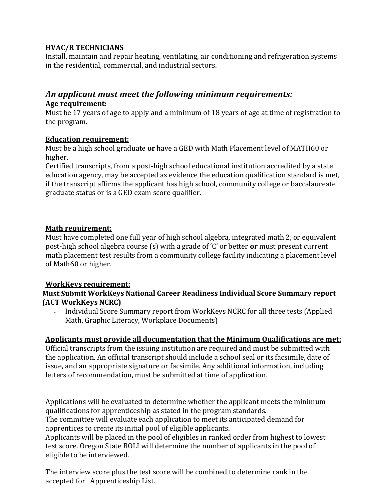#### **HVAC/R TECHNICIANS**

Install, maintain and repair heating, ventilating, air conditioning and refrigeration systems in the residential, commercial, and industrial sectors.

## *An applicant must meet the following minimum requirements:* **Age requirement:**

Must be 17 years of age to apply and a minimum of 18 years of age at time of registration to the program.

#### **Education requirement:**

Must be a high school graduate **or** have a GED with Math Placement level of MATH60 or higher.

Certified transcripts, from a post-high school educational institution accredited by a state education agency, may be accepted as evidence the education qualification standard is met, if the transcript affirms the applicant has high school, community college or baccalaureate graduate status or is a GED exam score qualifier.

## **Math requirement:**

Must have completed one full year of high school algebra, integrated math 2, or equivalent post-high school algebra course (s) with a grade of 'C' or better **or** must present current math placement test results from a community college facility indicating a placement level of Math60 or higher.

#### **WorkKeys requirement:**

#### **Must Submit WorkKeys National Career Readiness Individual Score Summary report (ACT WorkKeys NCRC)**

Individual Score Summary report from WorkKeys NCRC for all three tests (Applied Math, Graphic Literacy, Workplace Documents)

## **Applicants must provide all documentation that the Minimum Qualifications are met:**

Official transcripts from the issuing institution are required and must be submitted with the application. An official transcript should include a school seal or its facsimile, date of issue, and an appropriate signature or facsimile. Any additional information, including letters of recommendation, must be submitted at time of application.

Applications will be evaluated to determine whether the applicant meets the minimum qualifications for apprenticeship as stated in the program standards.

The committee will evaluate each application to meet its anticipated demand for apprentices to create its initial pool of eligible applicants.

Applicants will be placed in the pool of eligibles in ranked order from highest to lowest test score. Oregon State BOLI will determine the number of applicants in the pool of eligible to be interviewed.

The interview score plus the test score will be combined to determine rank in the accepted for Apprenticeship List.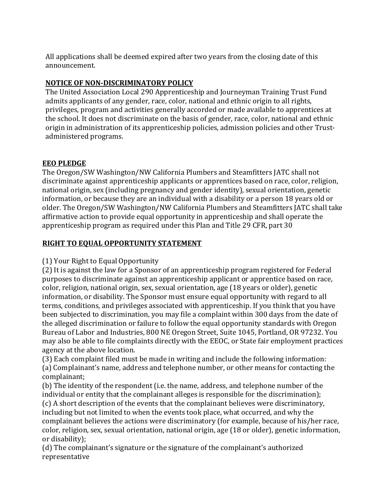All applications shall be deemed expired after two years from the closing date of this announcement.

## **NOTICE OF NON-DISCRIMINATORY POLICY**

The United Association Local 290 Apprenticeship and Journeyman Training Trust Fund admits applicants of any gender, race, color, national and ethnic origin to all rights, privileges, program and activities generally accorded or made available to apprentices at the school. It does not discriminate on the basis of gender, race, color, national and ethnic origin in administration of its apprenticeship policies, admission policies and other Trustadministered programs.

## **EEO PLEDGE**

The Oregon/SW Washington/NW California Plumbers and Steamfitters JATC shall not discriminate against apprenticeship applicants or apprentices based on race, color, religion, national origin, sex (including pregnancy and gender identity), sexual orientation, genetic information, or because they are an individual with a disability or a person 18 years old or older. The Oregon/SW Washington/NW California Plumbers and Steamfitters JATC shall take affirmative action to provide equal opportunity in apprenticeship and shall operate the apprenticeship program as required under this Plan and Title 29 CFR, part 30

## **RIGHT TO EQUAL OPPORTUNITY STATEMENT**

(1) Your Right to Equal Opportunity

(2) It is against the law for a Sponsor of an apprenticeship program registered for Federal purposes to discriminate against an apprenticeship applicant or apprentice based on race, color, religion, national origin, sex, sexual orientation, age (18 years or older), genetic information, or disability. The Sponsor must ensure equal opportunity with regard to all terms, conditions, and privileges associated with apprenticeship. If you think that you have been subjected to discrimination, you may file a complaint within 300 days from the date of the alleged discrimination or failure to follow the equal opportunity standards with Oregon Bureau of Labor and Industries, 800 NE Oregon Street, Suite 1045, Portland, OR 97232. You may also be able to file complaints directly with the EEOC, or State fair employment practices agency at the above location.

(3) Each complaint filed must be made in writing and include the following information: (a) Complainant's name, address and telephone number, or other means for contacting the complainant;

(b) The identity of the respondent (i.e. the name, address, and telephone number of the individual or entity that the complainant alleges is responsible for the discrimination); (c) A short description of the events that the complainant believes were discriminatory, including but not limited to when the events took place, what occurred, and why the complainant believes the actions were discriminatory (for example, because of his/her race, color, religion, sex, sexual orientation, national origin, age (18 or older), genetic information, or disability);

(d) The complainant's signature or the signature of the complainant's authorized representative